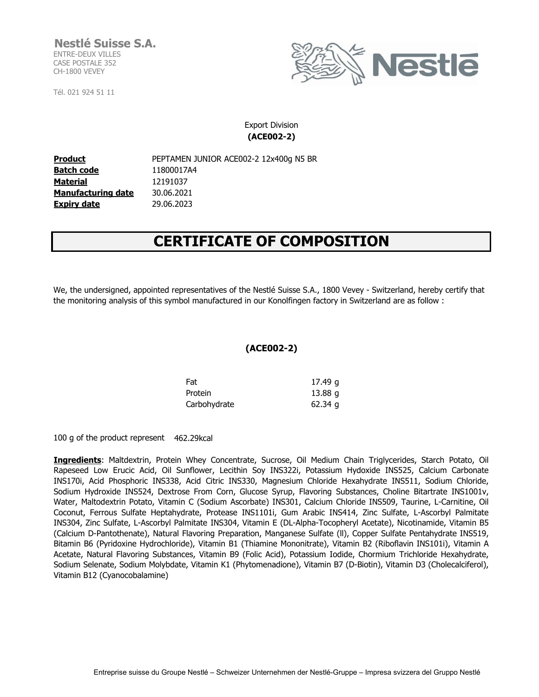**Nestlé Suisse S.A.** ENTRE-DEUX VILLES CASE POSTALE 352 CH-1800 VEVEY

Tél. 021 924 51 11



Export Division **(ACE002-2)**

**Product** PEPTAMEN JUNIOR ACE002-2 12x400g N5 BR **Batch code Material Manufacturing date Expiry date** 30.06.2021 29.06.2023 11800017A4 12191037

## **CERTIFICATE OF COMPOSITION**

We, the undersigned, appointed representatives of the Nestlé Suisse S.A., 1800 Vevey - Switzerland, hereby certify that the monitoring analysis of this symbol manufactured in our Konolfingen factory in Switzerland are as follow :

## **(ACE002-2)**

| Fat          | 17.49 g   |
|--------------|-----------|
| Protein      | $13.88$ g |
| Carbohydrate | $62.34$ g |

100 g of the product represent 462.29kcal

**Ingredients**: Maltdextrin, Protein Whey Concentrate, Sucrose, Oil Medium Chain Triglycerides, Starch Potato, Oil Rapeseed Low Erucic Acid, Oil Sunflower, Lecithin Soy INS322i, Potassium Hydoxide INS525, Calcium Carbonate INS170i, Acid Phosphoric INS338, Acid Citric INS330, Magnesium Chloride Hexahydrate INS511, Sodium Chloride, Sodium Hydroxide INS524, Dextrose From Corn, Glucose Syrup, Flavoring Substances, Choline Bitartrate INS1001v, Water, Maltodextrin Potato, Vitamin C (Sodium Ascorbate) INS301, Calcium Chloride INS509, Taurine, L-Carnitine, Oil Coconut, Ferrous Sulfate Heptahydrate, Protease INS1101i, Gum Arabic INS414, Zinc Sulfate, L-Ascorbyl Palmitate INS304, Zinc Sulfate, L-Ascorbyl Palmitate INS304, Vitamin E (DL-Alpha-Tocopheryl Acetate), Nicotinamide, Vitamin B5 (Calcium D-Pantothenate), Natural Flavoring Preparation, Manganese Sulfate (ll), Copper Sulfate Pentahydrate INS519, Bitamin B6 (Pyridoxine Hydrochloride), Vitamin B1 (Thiamine Mononitrate), Vitamin B2 (Riboflavin INS101i), Vitamin A Acetate, Natural Flavoring Substances, Vitamin B9 (Folic Acid), Potassium Iodide, Chormium Trichloride Hexahydrate, Sodium Selenate, Sodium Molybdate, Vitamin K1 (Phytomenadione), Vitamin B7 (D-Biotin), Vitamin D3 (Cholecalciferol), Vitamin B12 (Cyanocobalamine)